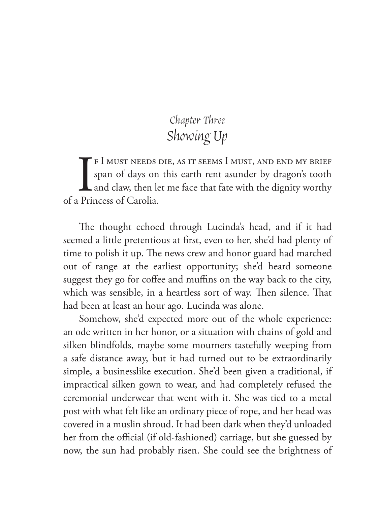## Chapter Three Showing Up

 $\prod_{\rm Priv}$ f I must needs die, as it seems I must, and end my brief span of days on this earth rent asunder by dragon's tooth and claw, then let me face that fate with the dignity worthy of a Princess of Carolia.

The thought echoed through Lucinda's head, and if it had seemed a little pretentious at first, even to her, she'd had plenty of time to polish it up. The news crew and honor guard had marched out of range at the earliest opportunity; she'd heard someone suggest they go for coffee and muffins on the way back to the city, which was sensible, in a heartless sort of way. Then silence. That had been at least an hour ago. Lucinda was alone.

Somehow, she'd expected more out of the whole experience: an ode written in her honor, or a situation with chains of gold and silken blindfolds, maybe some mourners tastefully weeping from a safe distance away, but it had turned out to be extraordinarily simple, a businesslike execution. She'd been given a traditional, if impractical silken gown to wear, and had completely refused the ceremonial underwear that went with it. She was tied to a metal post with what felt like an ordinary piece of rope, and her head was covered in a muslin shroud. It had been dark when they'd unloaded her from the official (if old-fashioned) carriage, but she guessed by now, the sun had probably risen. She could see the brightness of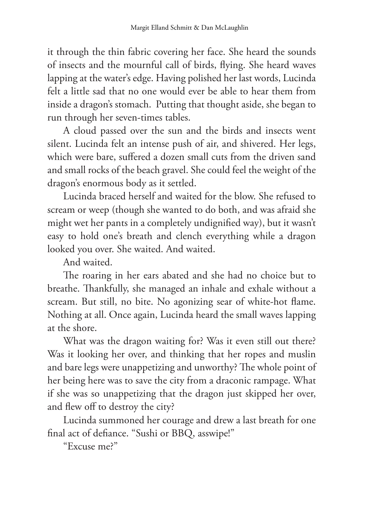it through the thin fabric covering her face. She heard the sounds of insects and the mournful call of birds, flying. She heard waves lapping at the water's edge. Having polished her last words, Lucinda felt a little sad that no one would ever be able to hear them from inside a dragon's stomach. Putting that thought aside, she began to run through her seven-times tables.

A cloud passed over the sun and the birds and insects went silent. Lucinda felt an intense push of air, and shivered. Her legs, which were bare, suffered a dozen small cuts from the driven sand and small rocks of the beach gravel. She could feel the weight of the dragon's enormous body as it settled.

Lucinda braced herself and waited for the blow. She refused to scream or weep (though she wanted to do both, and was afraid she might wet her pants in a completely undignified way), but it wasn't easy to hold one's breath and clench everything while a dragon looked you over. She waited. And waited.

And waited.

The roaring in her ears abated and she had no choice but to breathe. Thankfully, she managed an inhale and exhale without a scream. But still, no bite. No agonizing sear of white-hot flame. Nothing at all. Once again, Lucinda heard the small waves lapping at the shore.

What was the dragon waiting for? Was it even still out there? Was it looking her over, and thinking that her ropes and muslin and bare legs were unappetizing and unworthy? The whole point of her being here was to save the city from a draconic rampage. What if she was so unappetizing that the dragon just skipped her over, and flew off to destroy the city?

Lucinda summoned her courage and drew a last breath for one final act of defiance. "Sushi or BBQ, asswipe!"

"Excuse me?"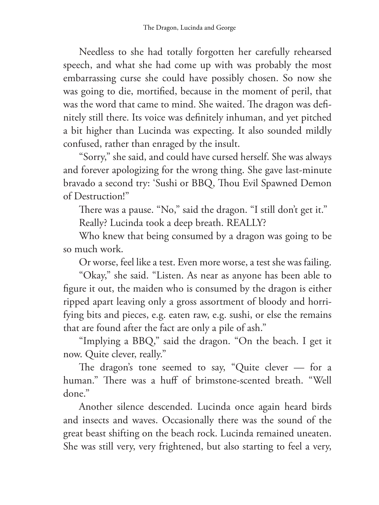Needless to she had totally forgotten her carefully rehearsed speech, and what she had come up with was probably the most embarrassing curse she could have possibly chosen. So now she was going to die, mortified, because in the moment of peril, that was the word that came to mind. She waited. The dragon was definitely still there. Its voice was definitely inhuman, and yet pitched a bit higher than Lucinda was expecting. It also sounded mildly confused, rather than enraged by the insult.

"Sorry," she said, and could have cursed herself. She was always and forever apologizing for the wrong thing. She gave last-minute bravado a second try: 'Sushi or BBQ, Thou Evil Spawned Demon of Destruction!"

There was a pause. "No," said the dragon. "I still don't get it." Really? Lucinda took a deep breath. REALLY?

Who knew that being consumed by a dragon was going to be so much work.

Or worse, feel like a test. Even more worse, a test she was failing.

"Okay," she said. "Listen. As near as anyone has been able to figure it out, the maiden who is consumed by the dragon is either ripped apart leaving only a gross assortment of bloody and horrifying bits and pieces, e.g. eaten raw, e.g. sushi, or else the remains that are found after the fact are only a pile of ash."

"Implying a BBQ," said the dragon. "On the beach. I get it now. Quite clever, really."

The dragon's tone seemed to say, "Quite clever — for a human." There was a huff of brimstone-scented breath. "Well done."

Another silence descended. Lucinda once again heard birds and insects and waves. Occasionally there was the sound of the great beast shifting on the beach rock. Lucinda remained uneaten. She was still very, very frightened, but also starting to feel a very,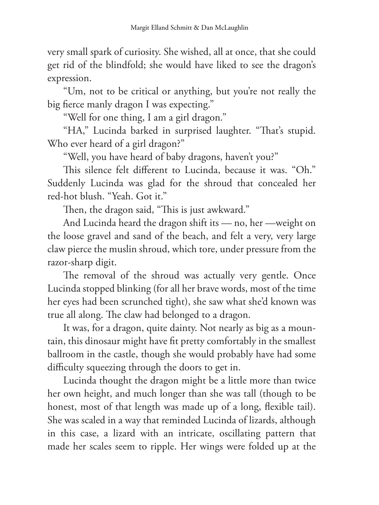very small spark of curiosity. She wished, all at once, that she could get rid of the blindfold; she would have liked to see the dragon's expression.

"Um, not to be critical or anything, but you're not really the big fierce manly dragon I was expecting."

"Well for one thing, I am a girl dragon."

"HA," Lucinda barked in surprised laughter. "That's stupid. Who ever heard of a girl dragon?"

"Well, you have heard of baby dragons, haven't you?"

This silence felt different to Lucinda, because it was. "Oh." Suddenly Lucinda was glad for the shroud that concealed her red-hot blush. "Yeah. Got it."

Then, the dragon said, "This is just awkward."

And Lucinda heard the dragon shift its — no, her —weight on the loose gravel and sand of the beach, and felt a very, very large claw pierce the muslin shroud, which tore, under pressure from the razor-sharp digit.

The removal of the shroud was actually very gentle. Once Lucinda stopped blinking (for all her brave words, most of the time her eyes had been scrunched tight), she saw what she'd known was true all along. The claw had belonged to a dragon.

It was, for a dragon, quite dainty. Not nearly as big as a mountain, this dinosaur might have fit pretty comfortably in the smallest ballroom in the castle, though she would probably have had some difficulty squeezing through the doors to get in.

Lucinda thought the dragon might be a little more than twice her own height, and much longer than she was tall (though to be honest, most of that length was made up of a long, flexible tail). She was scaled in a way that reminded Lucinda of lizards, although in this case, a lizard with an intricate, oscillating pattern that made her scales seem to ripple. Her wings were folded up at the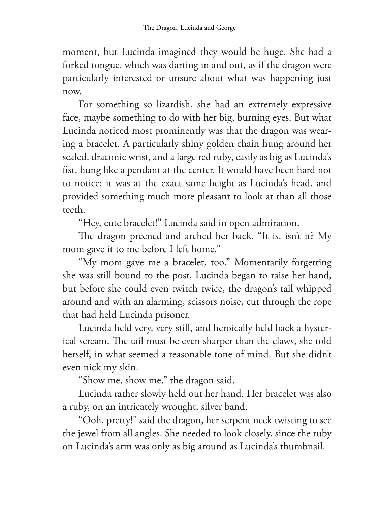moment, but Lucinda imagined they would be huge. She had a forked tongue, which was darting in and out, as if the dragon were particularly interested or unsure about what was happening just now.

For something so lizardish, she had an extremely expressive face, maybe something to do with her big, burning eyes. But what Lucinda noticed most prominently was that the dragon was wearing a bracelet. A particularly shiny golden chain hung around her scaled, draconic wrist, and a large red ruby, easily as big as Lucinda's fist, hung like a pendant at the center. It would have been hard not to notice; it was at the exact same height as Lucinda's head, and provided something much more pleasant to look at than all those teeth.

"Hey, cute bracelet!" Lucinda said in open admiration.

The dragon preened and arched her back. "It is, isn't it? My mom gave it to me before I left home."

"My mom gave me a bracelet, too." Momentarily forgetting she was still bound to the post, Lucinda began to raise her hand, but before she could even twitch twice, the dragon's tail whipped around and with an alarming, scissors noise, cut through the rope that had held Lucinda prisoner.

Lucinda held very, very still, and heroically held back a hysterical scream. The tail must be even sharper than the claws, she told herself, in what seemed a reasonable tone of mind. But she didn't even nick my skin.

"Show me, show me," the dragon said.

Lucinda rather slowly held out her hand. Her bracelet was also a ruby, on an intricately wrought, silver band.

"Ooh, pretty!" said the dragon, her serpent neck twisting to see the jewel from all angles. She needed to look closely, since the ruby on Lucinda's arm was only as big around as Lucinda's thumbnail.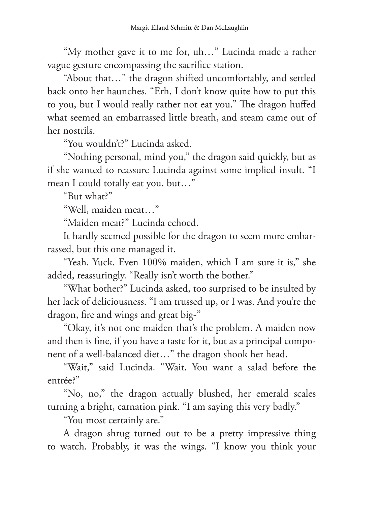"My mother gave it to me for, uh…" Lucinda made a rather vague gesture encompassing the sacrifice station.

"About that…" the dragon shifted uncomfortably, and settled back onto her haunches. "Erh, I don't know quite how to put this to you, but I would really rather not eat you." The dragon huffed what seemed an embarrassed little breath, and steam came out of her nostrils.

"You wouldn't?" Lucinda asked.

"Nothing personal, mind you," the dragon said quickly, but as if she wanted to reassure Lucinda against some implied insult. "I mean I could totally eat you, but…"

"But what?"

"Well, maiden meat…"

"Maiden meat?" Lucinda echoed.

It hardly seemed possible for the dragon to seem more embarrassed, but this one managed it.

"Yeah. Yuck. Even 100% maiden, which I am sure it is," she added, reassuringly. "Really isn't worth the bother."

"What bother?" Lucinda asked, too surprised to be insulted by her lack of deliciousness. "I am trussed up, or I was. And you're the dragon, fire and wings and great big-"

"Okay, it's not one maiden that's the problem. A maiden now and then is fine, if you have a taste for it, but as a principal component of a well-balanced diet…" the dragon shook her head.

"Wait," said Lucinda. "Wait. You want a salad before the entrée?"

"No, no," the dragon actually blushed, her emerald scales turning a bright, carnation pink. "I am saying this very badly."

"You most certainly are."

A dragon shrug turned out to be a pretty impressive thing to watch. Probably, it was the wings. "I know you think your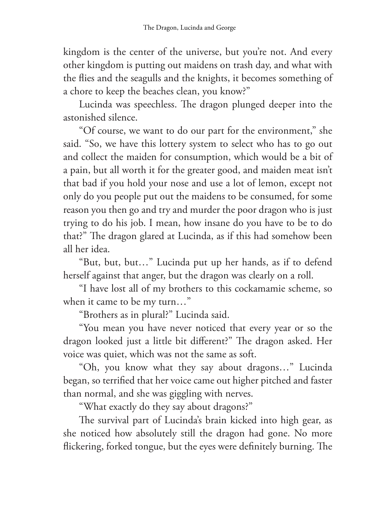kingdom is the center of the universe, but you're not. And every other kingdom is putting out maidens on trash day, and what with the flies and the seagulls and the knights, it becomes something of a chore to keep the beaches clean, you know?"

Lucinda was speechless. The dragon plunged deeper into the astonished silence.

"Of course, we want to do our part for the environment," she said. "So, we have this lottery system to select who has to go out and collect the maiden for consumption, which would be a bit of a pain, but all worth it for the greater good, and maiden meat isn't that bad if you hold your nose and use a lot of lemon, except not only do you people put out the maidens to be consumed, for some reason you then go and try and murder the poor dragon who is just trying to do his job. I mean, how insane do you have to be to do that?" The dragon glared at Lucinda, as if this had somehow been all her idea.

"But, but, but…" Lucinda put up her hands, as if to defend herself against that anger, but the dragon was clearly on a roll.

"I have lost all of my brothers to this cockamamie scheme, so when it came to be my turn…"

"Brothers as in plural?" Lucinda said.

"You mean you have never noticed that every year or so the dragon looked just a little bit different?" The dragon asked. Her voice was quiet, which was not the same as soft.

"Oh, you know what they say about dragons…" Lucinda began, so terrified that her voice came out higher pitched and faster than normal, and she was giggling with nerves.

"What exactly do they say about dragons?"

The survival part of Lucinda's brain kicked into high gear, as she noticed how absolutely still the dragon had gone. No more flickering, forked tongue, but the eyes were definitely burning. The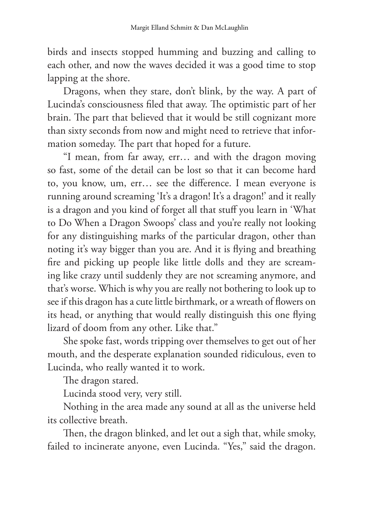birds and insects stopped humming and buzzing and calling to each other, and now the waves decided it was a good time to stop lapping at the shore.

Dragons, when they stare, don't blink, by the way. A part of Lucinda's consciousness filed that away. The optimistic part of her brain. The part that believed that it would be still cognizant more than sixty seconds from now and might need to retrieve that information someday. The part that hoped for a future.

"I mean, from far away, err… and with the dragon moving so fast, some of the detail can be lost so that it can become hard to, you know, um, err… see the difference. I mean everyone is running around screaming 'It's a dragon! It's a dragon!' and it really is a dragon and you kind of forget all that stuff you learn in 'What to Do When a Dragon Swoops' class and you're really not looking for any distinguishing marks of the particular dragon, other than noting it's way bigger than you are. And it is flying and breathing fire and picking up people like little dolls and they are screaming like crazy until suddenly they are not screaming anymore, and that's worse. Which is why you are really not bothering to look up to see if this dragon has a cute little birthmark, or a wreath of flowers on its head, or anything that would really distinguish this one flying lizard of doom from any other. Like that."

She spoke fast, words tripping over themselves to get out of her mouth, and the desperate explanation sounded ridiculous, even to Lucinda, who really wanted it to work.

The dragon stared.

Lucinda stood very, very still.

Nothing in the area made any sound at all as the universe held its collective breath.

Then, the dragon blinked, and let out a sigh that, while smoky, failed to incinerate anyone, even Lucinda. "Yes," said the dragon.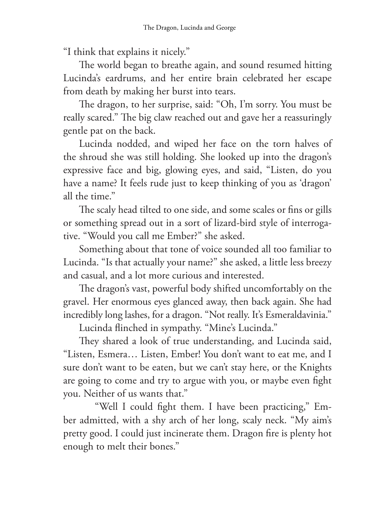"I think that explains it nicely."

The world began to breathe again, and sound resumed hitting Lucinda's eardrums, and her entire brain celebrated her escape from death by making her burst into tears.

The dragon, to her surprise, said: "Oh, I'm sorry. You must be really scared." The big claw reached out and gave her a reassuringly gentle pat on the back.

Lucinda nodded, and wiped her face on the torn halves of the shroud she was still holding. She looked up into the dragon's expressive face and big, glowing eyes, and said, "Listen, do you have a name? It feels rude just to keep thinking of you as 'dragon' all the time."

The scaly head tilted to one side, and some scales or fins or gills or something spread out in a sort of lizard-bird style of interrogative. "Would you call me Ember?" she asked.

Something about that tone of voice sounded all too familiar to Lucinda. "Is that actually your name?" she asked, a little less breezy and casual, and a lot more curious and interested.

The dragon's vast, powerful body shifted uncomfortably on the gravel. Her enormous eyes glanced away, then back again. She had incredibly long lashes, for a dragon. "Not really. It's Esmeraldavinia."

Lucinda flinched in sympathy. "Mine's Lucinda."

They shared a look of true understanding, and Lucinda said, "Listen, Esmera… Listen, Ember! You don't want to eat me, and I sure don't want to be eaten, but we can't stay here, or the Knights are going to come and try to argue with you, or maybe even fight you. Neither of us wants that."

"Well I could fight them. I have been practicing," Ember admitted, with a shy arch of her long, scaly neck. "My aim's pretty good. I could just incinerate them. Dragon fire is plenty hot enough to melt their bones."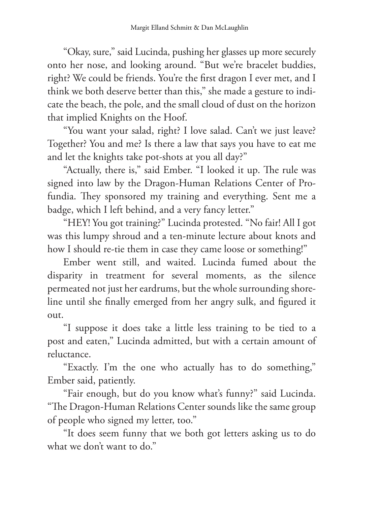"Okay, sure," said Lucinda, pushing her glasses up more securely onto her nose, and looking around. "But we're bracelet buddies, right? We could be friends. You're the first dragon I ever met, and I think we both deserve better than this," she made a gesture to indicate the beach, the pole, and the small cloud of dust on the horizon that implied Knights on the Hoof.

"You want your salad, right? I love salad. Can't we just leave? Together? You and me? Is there a law that says you have to eat me and let the knights take pot-shots at you all day?"

"Actually, there is," said Ember. "I looked it up. The rule was signed into law by the Dragon-Human Relations Center of Profundia. They sponsored my training and everything. Sent me a badge, which I left behind, and a very fancy letter."

"HEY! You got training?" Lucinda protested. "No fair! All I got was this lumpy shroud and a ten-minute lecture about knots and how I should re-tie them in case they came loose or something!"

Ember went still, and waited. Lucinda fumed about the disparity in treatment for several moments, as the silence permeated not just her eardrums, but the whole surrounding shoreline until she finally emerged from her angry sulk, and figured it out.

"I suppose it does take a little less training to be tied to a post and eaten," Lucinda admitted, but with a certain amount of reluctance.

"Exactly. I'm the one who actually has to do something," Ember said, patiently.

"Fair enough, but do you know what's funny?" said Lucinda. "The Dragon-Human Relations Center sounds like the same group of people who signed my letter, too."

"It does seem funny that we both got letters asking us to do what we don't want to do."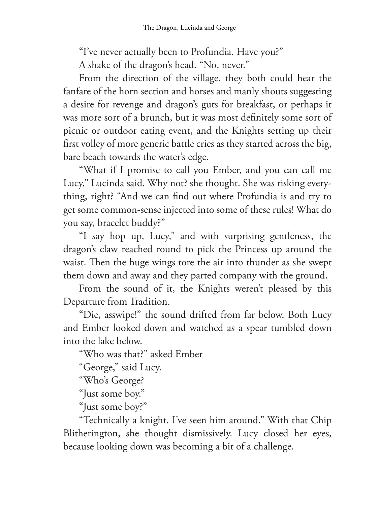"I've never actually been to Profundia. Have you?"

A shake of the dragon's head. "No, never."

From the direction of the village, they both could hear the fanfare of the horn section and horses and manly shouts suggesting a desire for revenge and dragon's guts for breakfast, or perhaps it was more sort of a brunch, but it was most definitely some sort of picnic or outdoor eating event, and the Knights setting up their first volley of more generic battle cries as they started across the big, bare beach towards the water's edge.

"What if I promise to call you Ember, and you can call me Lucy," Lucinda said. Why not? she thought. She was risking everything, right? "And we can find out where Profundia is and try to get some common-sense injected into some of these rules! What do you say, bracelet buddy?"

"I say hop up, Lucy," and with surprising gentleness, the dragon's claw reached round to pick the Princess up around the waist. Then the huge wings tore the air into thunder as she swept them down and away and they parted company with the ground.

From the sound of it, the Knights weren't pleased by this Departure from Tradition.

"Die, asswipe!" the sound drifted from far below. Both Lucy and Ember looked down and watched as a spear tumbled down into the lake below.

"Who was that?" asked Ember

"George," said Lucy.

"Who's George?

"Just some boy."

"Just some boy?"

"Technically a knight. I've seen him around." With that Chip Blitherington, she thought dismissively. Lucy closed her eyes, because looking down was becoming a bit of a challenge.